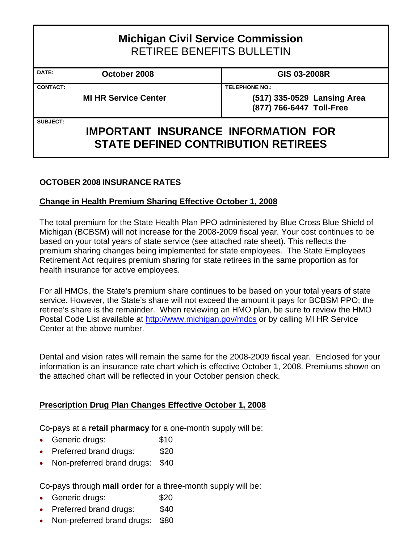| <b>Michigan Civil Service Commission</b><br><b>RETIREE BENEFITS BULLETIN</b> |                                                                                          |                                                                                  |
|------------------------------------------------------------------------------|------------------------------------------------------------------------------------------|----------------------------------------------------------------------------------|
| DATE:                                                                        | October 2008                                                                             | GIS 03-2008R                                                                     |
| <b>CONTACT:</b>                                                              | <b>MI HR Service Center</b>                                                              | <b>TELEPHONE NO.:</b><br>(517) 335-0529 Lansing Area<br>(877) 766-6447 Toll-Free |
| <b>SUBJECT:</b>                                                              | <b>IMPORTANT INSURANCE INFORMATION FOR</b><br><b>STATE DEFINED CONTRIBUTION RETIREES</b> |                                                                                  |

## **OCTOBER 2008 INSURANCE RATES**

## **Change in Health Premium Sharing Effective October 1, 2008**

The total premium for the State Health Plan PPO administered by Blue Cross Blue Shield of Michigan (BCBSM) will not increase for the 2008-2009 fiscal year. Your cost continues to be based on your total years of state service (see attached rate sheet). This reflects the premium sharing changes being implemented for state employees. The State Employees Retirement Act requires premium sharing for state retirees in the same proportion as for health insurance for active employees.

For all HMOs, the State's premium share continues to be based on your total years of state service. However, the State's share will not exceed the amount it pays for BCBSM PPO; the retiree's share is the remainder. When reviewing an HMO plan, be sure to review the HMO Postal Code List available at http://www.michigan.gov/mdcs or by calling MI HR Service Center at the above number.

Dental and vision rates will remain the same for the 2008-2009 fiscal year. Enclosed for your information is an insurance rate chart which is effective October 1, 2008. Premiums shown on the attached chart will be reflected in your October pension check.

#### **Prescription Drug Plan Changes Effective October 1, 2008**

Co-pays at a **retail pharmacy** for a one-month supply will be:

- Generic drugs: \$10
- Preferred brand drugs: \$20
- Non-preferred brand drugs: \$40

Co-pays through **mail order** for a three-month supply will be:

- Generic drugs: \$20
- Preferred brand drugs: \$40
- Non-preferred brand drugs: \$80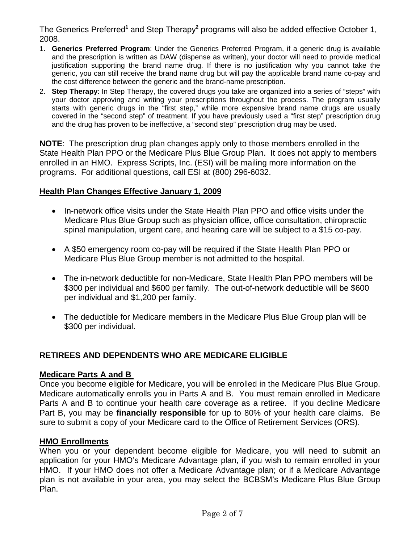The Generics Preferred<sup>1</sup> and Step Therapy<sup>2</sup> programs will also be added effective October 1, 2008.

- 1. **Generics Preferred Program**: Under the Generics Preferred Program, if a generic drug is available and the prescription is written as DAW (dispense as written), your doctor will need to provide medical justification supporting the brand name drug. If there is no justification why you cannot take the generic, you can still receive the brand name drug but will pay the applicable brand name co-pay and the cost difference between the generic and the brand-name prescription.
- 2. **Step Therapy**: In Step Therapy, the covered drugs you take are organized into a series of "steps" with your doctor approving and writing your prescriptions throughout the process. The program usually starts with generic drugs in the "first step," while more expensive brand name drugs are usually covered in the "second step" of treatment. If you have previously used a "first step" prescription drug and the drug has proven to be ineffective, a "second step" prescription drug may be used.

**NOTE**: The prescription drug plan changes apply only to those members enrolled in the State Health Plan PPO or the Medicare Plus Blue Group Plan. It does not apply to members enrolled in an HMO. Express Scripts, Inc. (ESI) will be mailing more information on the programs. For additional questions, call ESI at (800) 296-6032.

## **Health Plan Changes Effective January 1, 2009**

- In-network office visits under the State Health Plan PPO and office visits under the Medicare Plus Blue Group such as physician office, office consultation, chiropractic spinal manipulation, urgent care, and hearing care will be subject to a \$15 co-pay.
- A \$50 emergency room co-pay will be required if the State Health Plan PPO or Medicare Plus Blue Group member is not admitted to the hospital.
- The in-network deductible for non-Medicare, State Health Plan PPO members will be \$300 per individual and \$600 per family. The out-of-network deductible will be \$600 per individual and \$1,200 per family.
- The deductible for Medicare members in the Medicare Plus Blue Group plan will be \$300 per individual.

## **RETIREES AND DEPENDENTS WHO ARE MEDICARE ELIGIBLE**

#### **Medicare Parts A and B**

Once you become eligible for Medicare, you will be enrolled in the Medicare Plus Blue Group. Medicare automatically enrolls you in Parts A and B. You must remain enrolled in Medicare Parts A and B to continue your health care coverage as a retiree. If you decline Medicare Part B, you may be **financially responsible** for up to 80% of your health care claims. Be sure to submit a copy of your Medicare card to the Office of Retirement Services (ORS).

#### **HMO Enrollments**

When you or your dependent become eligible for Medicare, you will need to submit an application for your HMO's Medicare Advantage plan, if you wish to remain enrolled in your HMO. If your HMO does not offer a Medicare Advantage plan; or if a Medicare Advantage plan is not available in your area, you may select the BCBSM's Medicare Plus Blue Group Plan.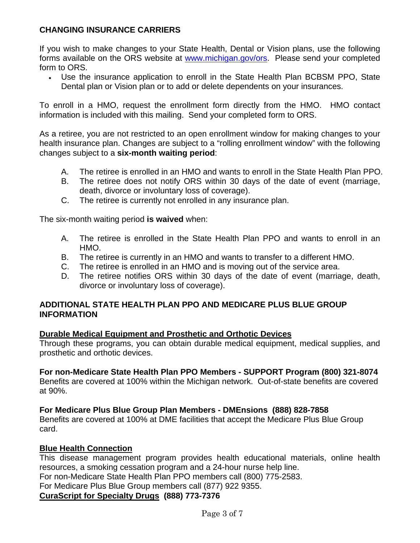## **CHANGING INSURANCE CARRIERS**

If you wish to make changes to your State Health, Dental or Vision plans, use the following forms available on the ORS website at www.michigan.gov/ors. Please send your completed form to ORS.

• Use the insurance application to enroll in the State Health Plan BCBSM PPO, State Dental plan or Vision plan or to add or delete dependents on your insurances.

To enroll in a HMO, request the enrollment form directly from the HMO. HMO contact information is included with this mailing. Send your completed form to ORS.

As a retiree, you are not restricted to an open enrollment window for making changes to your health insurance plan. Changes are subject to a "rolling enrollment window" with the following changes subject to a **six-month waiting period**:

- A. The retiree is enrolled in an HMO and wants to enroll in the State Health Plan PPO.
- B. The retiree does not notify ORS within 30 days of the date of event (marriage, death, divorce or involuntary loss of coverage).
- C. The retiree is currently not enrolled in any insurance plan.

The six-month waiting period **is waived** when:

- A. The retiree is enrolled in the State Health Plan PPO and wants to enroll in an HMO.
- B. The retiree is currently in an HMO and wants to transfer to a different HMO.
- C. The retiree is enrolled in an HMO and is moving out of the service area.
- D. The retiree notifies ORS within 30 days of the date of event (marriage, death, divorce or involuntary loss of coverage).

## **ADDITIONAL STATE HEALTH PLAN PPO AND MEDICARE PLUS BLUE GROUP INFORMATION**

#### **Durable Medical Equipment and Prosthetic and Orthotic Devices**

Through these programs, you can obtain durable medical equipment, medical supplies, and prosthetic and orthotic devices.

#### **For non-Medicare State Health Plan PPO Members - SUPPORT Program (800) 321-8074**

Benefits are covered at 100% within the Michigan network. Out-of-state benefits are covered at 90%.

#### **For Medicare Plus Blue Group Plan Members - DMEnsions (888) 828-7858**

Benefits are covered at 100% at DME facilities that accept the Medicare Plus Blue Group card.

#### **Blue Health Connection**

This disease management program provides health educational materials, online health resources, a smoking cessation program and a 24-hour nurse help line. For non-Medicare State Health Plan PPO members call (800) 775-2583.

For Medicare Plus Blue Group members call (877) 922 9355.

#### **CuraScript for Specialty Drugs (888) 773-7376**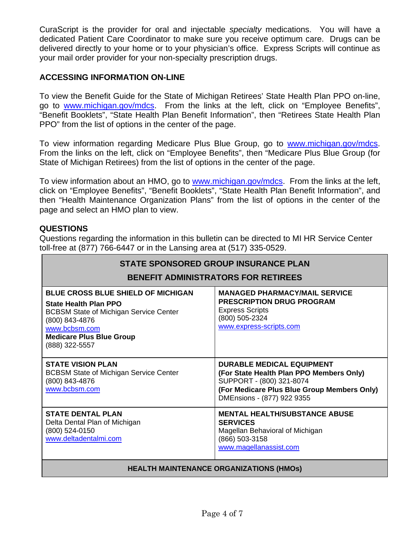CuraScript is the provider for oral and injectable *specialty* medications. You will have a dedicated Patient Care Coordinator to make sure you receive optimum care. Drugs can be delivered directly to your home or to your physician's office. Express Scripts will continue as your mail order provider for your non-specialty prescription drugs.

## **ACCESSING INFORMATION ON-LINE**

To view the Benefit Guide for the State of Michigan Retirees' State Health Plan PPO on-line, go to www.michigan.gov/mdcs. From the links at the left, click on "Employee Benefits", "Benefit Booklets", "State Health Plan Benefit Information", then "Retirees State Health Plan PPO" from the list of options in the center of the page.

To view information regarding Medicare Plus Blue Group, go to [www.michigan.gov/mdcs](http://www.michigan.gov/mdcs). From the links on the left, click on "Employee Benefits", then "Medicare Plus Blue Group (for State of Michigan Retirees) from the list of options in the center of the page.

To view information about an HMO, go to www.michigan.gov/mdcs. From the links at the left, click on "Employee Benefits", "Benefit Booklets", "State Health Plan Benefit Information", and then "Health Maintenance Organization Plans" from the list of options in the center of the page and select an HMO plan to view.

#### **QUESTIONS**

Questions regarding the information in this bulletin can be directed to MI HR Service Center toll-free at (877) 766-6447 or in the Lansing area at (517) 335-0529.

| <b>STATE SPONSORED GROUP INSURANCE PLAN</b><br><b>BENEFIT ADMINISTRATORS FOR RETIREES</b>                                                                                                                          |                                                                                                                                                                                       |  |
|--------------------------------------------------------------------------------------------------------------------------------------------------------------------------------------------------------------------|---------------------------------------------------------------------------------------------------------------------------------------------------------------------------------------|--|
| <b>BLUE CROSS BLUE SHIELD OF MICHIGAN</b><br><b>State Health Plan PPO</b><br><b>BCBSM State of Michigan Service Center</b><br>(800) 843-4876<br>www.bcbsm.com<br><b>Medicare Plus Blue Group</b><br>(888) 322-5557 | <b>MANAGED PHARMACY/MAIL SERVICE</b><br><b>PRESCRIPTION DRUG PROGRAM</b><br><b>Express Scripts</b><br>(800) 505-2324<br>www.express-scripts.com                                       |  |
| <b>STATE VISION PLAN</b><br><b>BCBSM State of Michigan Service Center</b><br>(800) 843-4876<br>www.bcbsm.com                                                                                                       | <b>DURABLE MEDICAL EQUIPMENT</b><br>(For State Health Plan PPO Members Only)<br>SUPPORT - (800) 321-8074<br>(For Medicare Plus Blue Group Members Only)<br>DMEnsions - (877) 922 9355 |  |
| <b>STATE DENTAL PLAN</b><br>Delta Dental Plan of Michigan<br>(800) 524-0150<br>www.deltadentalmi.com                                                                                                               | <b>MENTAL HEALTH/SUBSTANCE ABUSE</b><br><b>SERVICES</b><br>Magellan Behavioral of Michigan<br>(866) 503-3158<br>www.magellanassist.com                                                |  |

#### **HEALTH MAINTENANCE ORGANIZATIONS (HMOs)**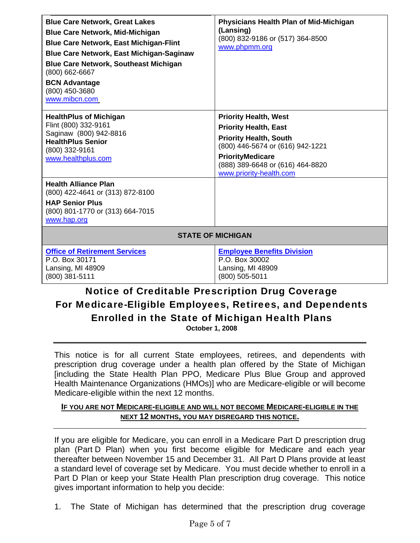| <b>Blue Care Network, Great Lakes</b><br><b>Blue Care Network, Mid-Michigan</b><br><b>Blue Care Network, East Michigan-Flint</b><br><b>Blue Care Network, East Michigan-Saginaw</b><br><b>Blue Care Network, Southeast Michigan</b><br>(800) 662-6667<br><b>BCN Advantage</b><br>(800) 450-3680<br>www.mibcn.com | <b>Physicians Health Plan of Mid-Michigan</b><br>(Lansing)<br>(800) 832-9186 or (517) 364-8500<br>www.phpmm.org                                                                                                             |  |
|------------------------------------------------------------------------------------------------------------------------------------------------------------------------------------------------------------------------------------------------------------------------------------------------------------------|-----------------------------------------------------------------------------------------------------------------------------------------------------------------------------------------------------------------------------|--|
| <b>HealthPlus of Michigan</b><br>Flint (800) 332-9161<br>Saginaw (800) 942-8816<br><b>HealthPlus Senior</b><br>(800) 332-9161<br>www.healthplus.com                                                                                                                                                              | <b>Priority Health, West</b><br><b>Priority Health, East</b><br><b>Priority Health, South</b><br>(800) 446-5674 or (616) 942-1221<br><b>PriorityMedicare</b><br>(888) 389-6648 or (616) 464-8820<br>www.priority-health.com |  |
| <b>Health Alliance Plan</b><br>(800) 422-4641 or (313) 872-8100<br><b>HAP Senior Plus</b><br>(800) 801-1770 or (313) 664-7015<br>www.hap.org                                                                                                                                                                     |                                                                                                                                                                                                                             |  |
| <b>STATE OF MICHIGAN</b>                                                                                                                                                                                                                                                                                         |                                                                                                                                                                                                                             |  |
| <b>Office of Retirement Services</b><br>P.O. Box 30171<br>Lansing, MI 48909<br>(800) 381-5111<br>Notice of Creditable Prescription Drug Coverage                                                                                                                                                                 | <b>Employee Benefits Division</b><br>P.O. Box 30002<br>Lansing, MI 48909<br>(800) 505-5011                                                                                                                                  |  |

# $\bm{\mathit{x}}$ reditable Prescription Drug Coverage For Medicare-Eligible Employees, Retirees, and Dependents Enrolled in the State of Michigan Health Plans **October 1, 2008**

This notice is for all current State employees, retirees, and dependents with prescription drug coverage under a health plan offered by the State of Michigan [including the State Health Plan PPO, Medicare Plus Blue Group and approved Health Maintenance Organizations (HMOs)] who are Medicare-eligible or will become Medicare-eligible within the next 12 months.

#### **IF YOU ARE NOT MEDICARE-ELIGIBLE AND WILL NOT BECOME MEDICARE-ELIGIBLE IN THE NEXT 12 MONTHS, YOU MAY DISREGARD THIS NOTICE.**

If you are eligible for Medicare, you can enroll in a Medicare Part D prescription drug plan (Part D Plan) when you first become eligible for Medicare and each year thereafter between November 15 and December 31. All Part D Plans provide at least a standard level of coverage set by Medicare. You must decide whether to enroll in a Part D Plan or keep your State Health Plan prescription drug coverage. This notice gives important information to help you decide:

1. The State of Michigan has determined that the prescription drug coverage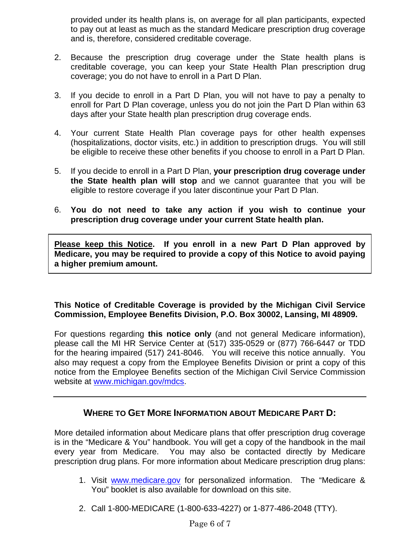provided under its health plans is, on average for all plan participants, expected to pay out at least as much as the standard Medicare prescription drug coverage and is, therefore, considered creditable coverage.

- 2. Because the prescription drug coverage under the State health plans is creditable coverage, you can keep your State Health Plan prescription drug coverage; you do not have to enroll in a Part D Plan.
- 3. If you decide to enroll in a Part D Plan, you will not have to pay a penalty to enroll for Part D Plan coverage, unless you do not join the Part D Plan within 63 days after your State health plan prescription drug coverage ends.
- 4. Your current State Health Plan coverage pays for other health expenses (hospitalizations, doctor visits, etc.) in addition to prescription drugs. You will still be eligible to receive these other benefits if you choose to enroll in a Part D Plan.
- 5. If you decide to enroll in a Part D Plan, **your prescription drug coverage under the State health plan will stop** and we cannot guarantee that you will be eligible to restore coverage if you later discontinue your Part D Plan.
- 6. **You do not need to take any action if you wish to continue your prescription drug coverage under your current State health plan.**

**Please keep this Notice. If you enroll in a new Part D Plan approved by Medicare, you may be required to provide a copy of this Notice to avoid paying a higher premium amount.** 

## **This Notice of Creditable Coverage is provided by the Michigan Civil Service Commission, Employee Benefits Division, P.O. Box 30002, Lansing, MI 48909.**

For questions regarding **this notice only** (and not general Medicare information), please call the MI HR Service Center at (517) 335-0529 or (877) 766-6447 or TDD for the hearing impaired (517) 241-8046. You will receive this notice annually. You also may request a copy from the Employee Benefits Division or print a copy of this notice from the Employee Benefits section of the Michigan Civil Service Commission website at www.michigan.gov/mdcs.

# **WHERE TO GET MORE INFORMATION ABOUT MEDICARE PART D:**

More detailed information about Medicare plans that offer prescription drug coverage is in the "Medicare & You" handbook. You will get a copy of the handbook in the mail every year from Medicare. You may also be contacted directly by Medicare prescription drug plans. For more information about Medicare prescription drug plans:

- 1. Visit www.medicare.gov for personalized information. The "Medicare & You" booklet is also available for download on this site.
- 2. Call 1-800-MEDICARE (1-800-633-4227) or 1-877-486-2048 (TTY).